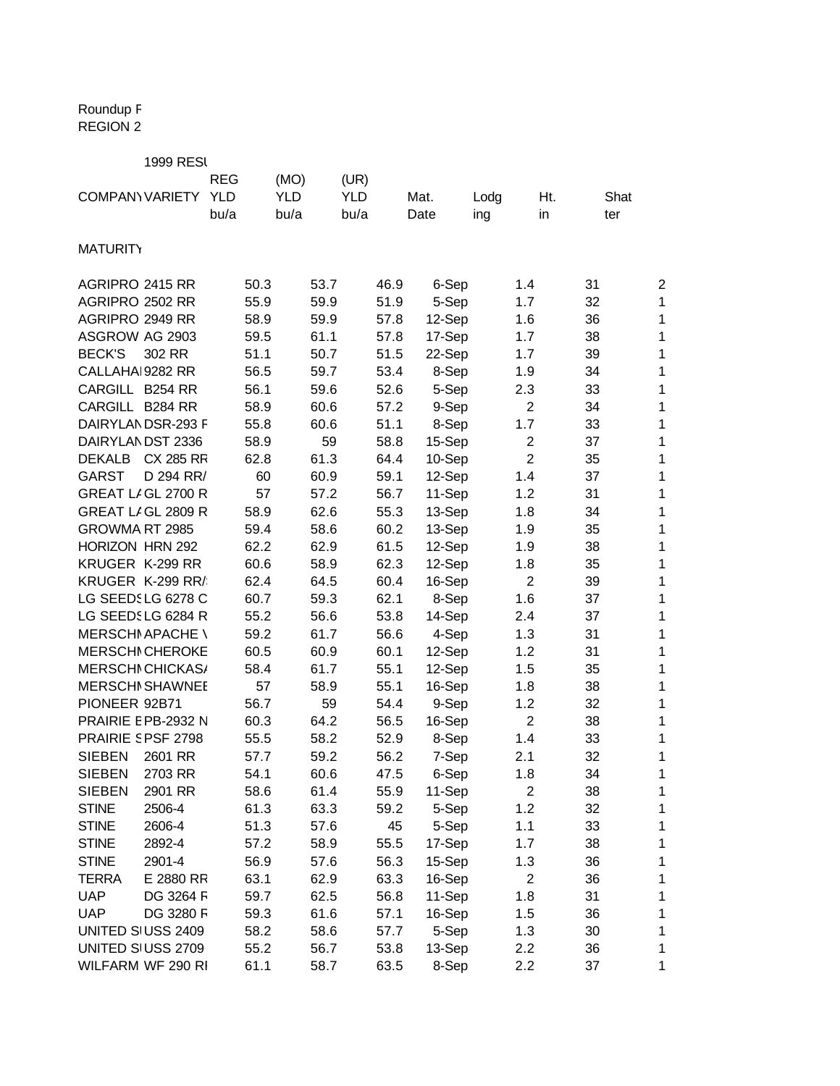## Roundup F REGION 2

|                        | <b>1999 RESI</b>         |            |      |            |      |            |      |        |      |                  |      |                |
|------------------------|--------------------------|------------|------|------------|------|------------|------|--------|------|------------------|------|----------------|
|                        |                          | <b>REG</b> |      | (MO)       |      | (UR)       |      |        |      |                  |      |                |
| <b>COMPANY VARIETY</b> |                          | <b>YLD</b> |      | <b>YLD</b> |      | <b>YLD</b> |      | Mat.   | Lodg | Ht.              | Shat |                |
|                        |                          | bu/a       |      | bu/a       |      | bu/a       |      | Date   | ing  | in               | ter  |                |
|                        |                          |            |      |            |      |            |      |        |      |                  |      |                |
| <b>MATURITY</b>        |                          |            |      |            |      |            |      |        |      |                  |      |                |
| AGRIPRO 2415 RR        |                          |            | 50.3 |            | 53.7 |            | 46.9 | 6-Sep  |      | 1.4              | 31   | $\overline{c}$ |
| AGRIPRO 2502 RR        |                          |            | 55.9 |            | 59.9 |            | 51.9 | 5-Sep  |      | 1.7              | 32   | 1              |
| AGRIPRO 2949 RR        |                          |            | 58.9 |            | 59.9 |            | 57.8 | 12-Sep |      | 1.6              | 36   | 1              |
| ASGROW AG 2903         |                          |            | 59.5 |            | 61.1 |            | 57.8 | 17-Sep |      | 1.7              | 38   | 1              |
| <b>BECK'S</b>          | 302 RR                   |            | 51.1 |            | 50.7 |            | 51.5 | 22-Sep |      | 1.7              | 39   | 1              |
| CALLAHAI 9282 RR       |                          |            | 56.5 |            | 59.7 |            | 53.4 | 8-Sep  |      | 1.9              | 34   | 1              |
| CARGILL B254 RR        |                          |            | 56.1 |            | 59.6 |            | 52.6 | 5-Sep  |      | 2.3              | 33   | 1              |
| CARGILL B284 RR        |                          |            | 58.9 |            | 60.6 |            | 57.2 | 9-Sep  |      | $\overline{2}$   | 34   | 1              |
|                        | DAIRYLANDSR-293 F        |            | 55.8 |            | 60.6 |            | 51.1 | 8-Sep  |      | 1.7              | 33   | 1              |
|                        | DAIRYLANDST 2336         |            | 58.9 |            | 59   |            | 58.8 | 15-Sep |      | $\overline{2}$   | 37   | 1              |
| <b>DEKALB</b>          | <b>CX 285 RR</b>         |            | 62.8 |            | 61.3 |            | 64.4 | 10-Sep |      | $\overline{2}$   | 35   | 1              |
| <b>GARST</b>           | D 294 RR/                |            | 60   |            | 60.9 |            | 59.1 | 12-Sep |      | 1.4              | 37   | 1              |
|                        | GREAT LIGL 2700 R        |            | 57   |            | 57.2 |            | 56.7 | 11-Sep |      | 1.2              | 31   | 1              |
|                        | GREAT LIGL 2809 R        |            | 58.9 |            | 62.6 |            | 55.3 | 13-Sep |      | 1.8              | 34   | 1              |
| GROWMA RT 2985         |                          |            | 59.4 |            | 58.6 |            | 60.2 | 13-Sep |      | 1.9              | 35   | 1              |
| HORIZON HRN 292        |                          |            | 62.2 |            | 62.9 |            | 61.5 | 12-Sep |      | 1.9              | 38   | 1              |
| KRUGER K-299 RR        |                          |            | 60.6 |            | 58.9 |            | 62.3 | 12-Sep |      | 1.8              | 35   | 1              |
|                        | KRUGER K-299 RR/         |            | 62.4 |            | 64.5 |            | 60.4 | 16-Sep |      | $\overline{2}$   | 39   | 1              |
|                        | LG SEEDSLG 6278 C        |            | 60.7 |            | 59.3 |            | 62.1 | 8-Sep  |      | 1.6              | 37   | 1              |
|                        | LG SEEDSLG 6284 R        |            | 55.2 |            | 56.6 |            | 53.8 | 14-Sep |      | 2.4              | 37   | 1              |
|                        | <b>MERSCHI APACHE \</b>  |            | 59.2 |            | 61.7 |            | 56.6 | 4-Sep  |      | 1.3              | 31   | 1              |
|                        | <b>MERSCHI CHEROKE</b>   |            | 60.5 |            | 60.9 |            | 60.1 | 12-Sep |      | 1.2              | 31   | 1              |
|                        | <b>MERSCHI CHICKAS/</b>  |            | 58.4 |            | 61.7 |            | 55.1 | 12-Sep |      | 1.5              | 35   | 1              |
|                        | <b>MERSCHI SHAWNEE</b>   |            | 57   |            | 58.9 |            | 55.1 | 16-Sep |      | 1.8              | 38   | 1              |
| PIONEER 92B71          |                          |            | 56.7 |            | 59   |            | 54.4 | 9-Sep  |      | 1.2              | 32   | 1              |
|                        | PRAIRIE E PB-2932 N      |            | 60.3 |            | 64.2 |            | 56.5 | 16-Sep |      | $\overline{2}$   | 38   | 1              |
|                        | <b>PRAIRIE SPSF 2798</b> |            | 55.5 |            | 58.2 |            | 52.9 | 8-Sep  |      | 1.4              | 33   | 1              |
| <b>SIEBEN</b>          | 2601 RR                  |            | 57.7 |            | 59.2 |            | 56.2 | 7-Sep  |      | 2.1              | 32   | 1              |
| <b>SIEBEN</b>          | 2703 RR                  |            | 54.1 |            | 60.6 |            | 47.5 | 6-Sep  |      | 1.8              | 34   | 1              |
| <b>SIEBEN</b>          | 2901 RR                  |            | 58.6 |            | 61.4 |            | 55.9 | 11-Sep |      | $\boldsymbol{2}$ | 38   | 1              |
| <b>STINE</b>           | 2506-4                   |            | 61.3 |            | 63.3 |            | 59.2 | 5-Sep  |      | 1.2              | 32   | 1              |
| <b>STINE</b>           | 2606-4                   |            | 51.3 |            | 57.6 |            | 45   | 5-Sep  |      | 1.1              | 33   | 1              |
| <b>STINE</b>           | 2892-4                   |            | 57.2 |            | 58.9 |            | 55.5 | 17-Sep |      | 1.7              | 38   | 1              |
| <b>STINE</b>           | 2901-4                   |            | 56.9 |            | 57.6 |            | 56.3 | 15-Sep |      | 1.3              | 36   | 1              |
| <b>TERRA</b>           | E 2880 RR                |            | 63.1 |            | 62.9 |            | 63.3 | 16-Sep |      | $\overline{2}$   | 36   | 1              |
| <b>UAP</b>             | DG 3264 F                |            | 59.7 |            | 62.5 |            | 56.8 | 11-Sep |      | 1.8              | 31   | 1              |
| <b>UAP</b>             | DG 3280 F                |            | 59.3 |            | 61.6 |            | 57.1 | 16-Sep |      | 1.5              | 36   | 1              |
|                        | UNITED SI USS 2409       |            | 58.2 |            | 58.6 |            | 57.7 | 5-Sep  |      | 1.3              | 30   | 1              |
|                        | UNITED SIUSS 2709        |            | 55.2 |            | 56.7 |            | 53.8 | 13-Sep |      | 2.2              | 36   | 1              |
|                        | WILFARM WF 290 RI        |            | 61.1 |            | 58.7 |            | 63.5 | 8-Sep  |      | 2.2              | 37   | 1              |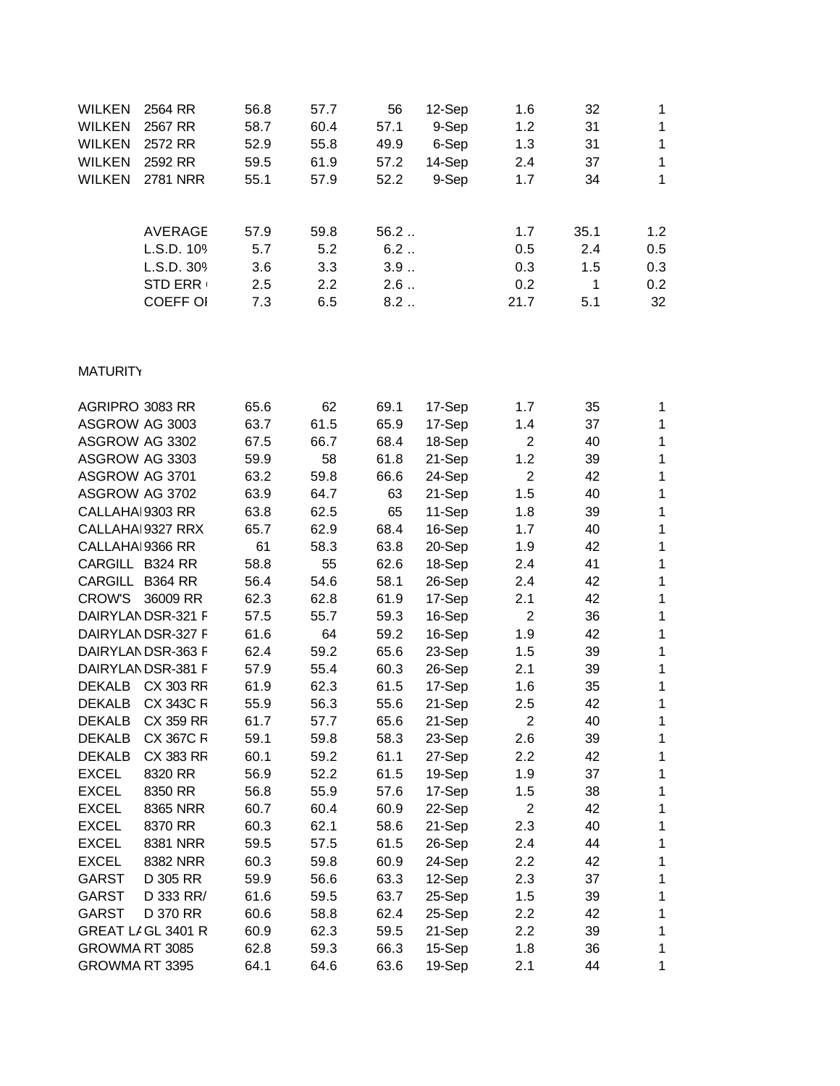| 2564 RR         | 56.8                  | 57.7        | 56          | 12-Sep      | 1.6  | 32         |             |
|-----------------|-----------------------|-------------|-------------|-------------|------|------------|-------------|
| 2567 RR         | 58.7                  | 60.4        | 57.1        | 9-Sep       | 1.2  | 31         |             |
| 2572 RR         | 52.9                  | 55.8        | 49.9        | 6-Sep       | 1.3  | 31         |             |
| 2592 RR         | 59.5                  | 61.9        | 57.2        | 14-Sep      | 2.4  | 37         |             |
| 2781 NRR        | 55.1                  | 57.9        | 52.2        | 9-Sep       | 1.7  | 34         |             |
|                 |                       |             |             |             |      |            | 1.2         |
|                 |                       |             |             |             |      |            | 0.5         |
| L.S.D. 30%      | 3.6                   | 3.3         | 3.9         |             | 0.3  | 1.5        | 0.3         |
| <b>STD ERR</b>  | 2.5                   | 2.2         | 2.6         |             | 0.2  | 1          | 0.2         |
| <b>COEFF OI</b> | 7.3                   | 6.5         | 8.2         |             | 21.7 | 5.1        | 32          |
|                 | AVERAGE<br>L.S.D. 109 | 57.9<br>5.7 | 59.8<br>5.2 | 56.2<br>6.2 |      | 1.7<br>0.5 | 35.1<br>2.4 |

## **MATURITY**

| AGRIPRO 3083 RR  |                    | 65.6 | 62   | 69.1 | 17-Sep | 1.7              | 35 | 1 |
|------------------|--------------------|------|------|------|--------|------------------|----|---|
| ASGROW AG 3003   |                    | 63.7 | 61.5 | 65.9 | 17-Sep | 1.4              | 37 | 1 |
| ASGROW AG 3302   |                    | 67.5 | 66.7 | 68.4 | 18-Sep | $\overline{2}$   | 40 | 1 |
| ASGROW AG 3303   |                    | 59.9 | 58   | 61.8 | 21-Sep | 1.2              | 39 | 1 |
| ASGROW AG 3701   |                    | 63.2 | 59.8 | 66.6 | 24-Sep | $\overline{2}$   | 42 | 1 |
| ASGROW AG 3702   |                    | 63.9 | 64.7 | 63   | 21-Sep | 1.5              | 40 | 1 |
| CALLAHAI 9303 RR |                    | 63.8 | 62.5 | 65   | 11-Sep | 1.8              | 39 | 1 |
|                  | CALLAHAI 9327 RRX  | 65.7 | 62.9 | 68.4 | 16-Sep | 1.7              | 40 | 1 |
| CALLAHAI 9366 RR |                    | 61   | 58.3 | 63.8 | 20-Sep | 1.9              | 42 | 1 |
| CARGILL B324 RR  |                    | 58.8 | 55   | 62.6 | 18-Sep | 2.4              | 41 | 1 |
| CARGILL B364 RR  |                    | 56.4 | 54.6 | 58.1 | 26-Sep | 2.4              | 42 | 1 |
| <b>CROW'S</b>    | 36009 RR           | 62.3 | 62.8 | 61.9 | 17-Sep | 2.1              | 42 | 1 |
|                  | DAIRYLAN DSR-321 F | 57.5 | 55.7 | 59.3 | 16-Sep | $\overline{2}$   | 36 | 1 |
|                  | DAIRYLANDSR-327 F  | 61.6 | 64   | 59.2 | 16-Sep | 1.9              | 42 | 1 |
|                  | DAIRYLANDSR-363 F  | 62.4 | 59.2 | 65.6 | 23-Sep | 1.5              | 39 | 1 |
|                  | DAIRYLANDSR-381 F  | 57.9 | 55.4 | 60.3 | 26-Sep | 2.1              | 39 | 1 |
| <b>DEKALB</b>    | CX 303 RR          | 61.9 | 62.3 | 61.5 | 17-Sep | 1.6              | 35 | 1 |
| <b>DEKALB</b>    | <b>CX 343C R</b>   | 55.9 | 56.3 | 55.6 | 21-Sep | 2.5              | 42 | 1 |
| <b>DEKALB</b>    | <b>CX 359 RR</b>   | 61.7 | 57.7 | 65.6 | 21-Sep | $\overline{2}$   | 40 | 1 |
| <b>DEKALB</b>    | <b>CX 367C R</b>   | 59.1 | 59.8 | 58.3 | 23-Sep | 2.6              | 39 | 1 |
| <b>DEKALB</b>    | CX 383 RR          | 60.1 | 59.2 | 61.1 | 27-Sep | 2.2              | 42 | 1 |
| <b>EXCEL</b>     | 8320 RR            | 56.9 | 52.2 | 61.5 | 19-Sep | 1.9              | 37 | 1 |
| <b>EXCEL</b>     | 8350 RR            | 56.8 | 55.9 | 57.6 | 17-Sep | 1.5              | 38 | 1 |
| <b>EXCEL</b>     | 8365 NRR           | 60.7 | 60.4 | 60.9 | 22-Sep | $\overline{2}$   | 42 | 1 |
| <b>EXCEL</b>     | 8370 RR            | 60.3 | 62.1 | 58.6 | 21-Sep | 2.3              | 40 | 1 |
| <b>EXCEL</b>     | 8381 NRR           | 59.5 | 57.5 | 61.5 | 26-Sep | 2.4              | 44 | 1 |
| <b>EXCEL</b>     | 8382 NRR           | 60.3 | 59.8 | 60.9 | 24-Sep | 2.2              | 42 | 1 |
| <b>GARST</b>     | D 305 RR           | 59.9 | 56.6 | 63.3 | 12-Sep | 2.3              | 37 | 1 |
| <b>GARST</b>     | D 333 RR/          | 61.6 | 59.5 | 63.7 | 25-Sep | 1.5              | 39 | 1 |
| <b>GARST</b>     | D 370 RR           | 60.6 | 58.8 | 62.4 | 25-Sep | $2.2\phantom{0}$ | 42 | 1 |
|                  | GREAT LIGL 3401 R  | 60.9 | 62.3 | 59.5 | 21-Sep | 2.2              | 39 | 1 |
| GROWMA RT 3085   |                    | 62.8 | 59.3 | 66.3 | 15-Sep | 1.8              | 36 | 1 |
| GROWMA RT 3395   |                    | 64.1 | 64.6 | 63.6 | 19-Sep | 2.1              | 44 | 1 |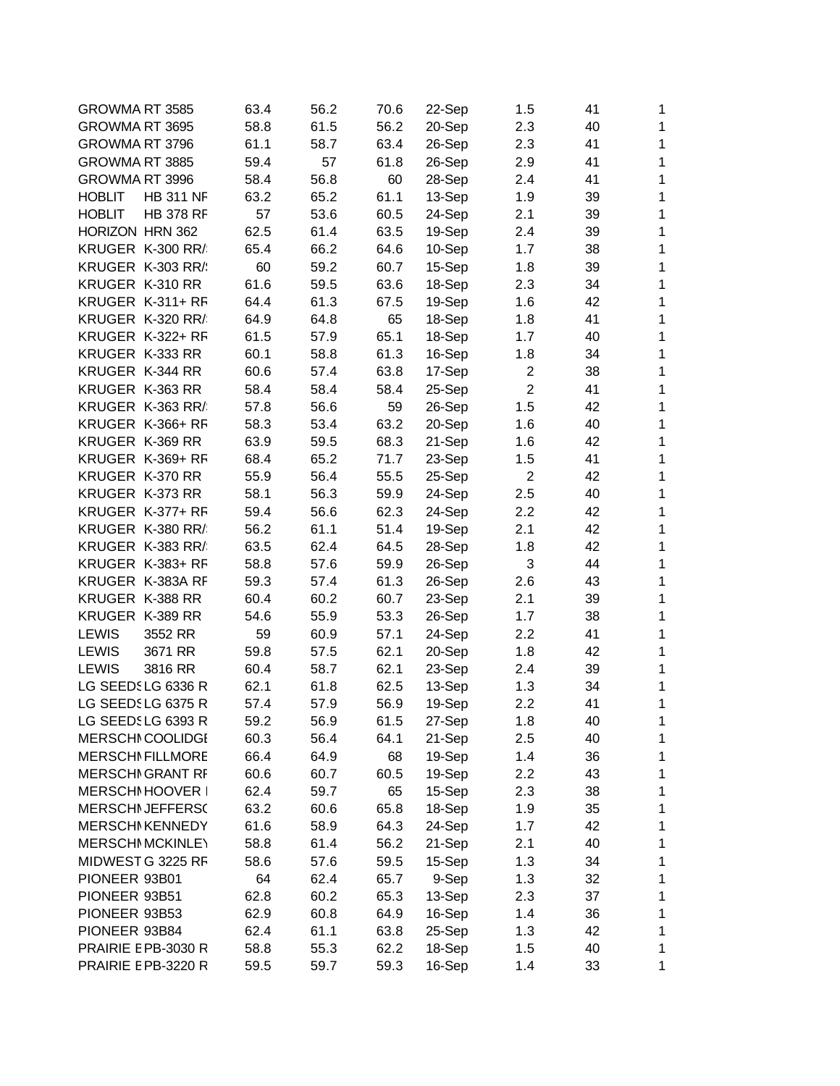| GROWMA RT 3585          |                  | 63.4 | 56.2 | 70.6 | 22-Sep | 1.5            | 41 | 1            |
|-------------------------|------------------|------|------|------|--------|----------------|----|--------------|
| GROWMA RT 3695          |                  | 58.8 | 61.5 | 56.2 | 20-Sep | 2.3            | 40 | 1            |
| GROWMA RT 3796          |                  | 61.1 | 58.7 | 63.4 | 26-Sep | 2.3            | 41 | 1            |
| GROWMA RT 3885          |                  | 59.4 | 57   | 61.8 | 26-Sep | 2.9            | 41 | $\mathbf{1}$ |
| GROWMA RT 3996          |                  | 58.4 | 56.8 | 60   | 28-Sep | 2.4            | 41 | 1            |
| <b>HOBLIT</b>           | <b>HB 311 NF</b> | 63.2 | 65.2 | 61.1 | 13-Sep | 1.9            | 39 | 1            |
| <b>HOBLIT</b>           | <b>HB 378 RF</b> | 57   | 53.6 | 60.5 | 24-Sep | 2.1            | 39 | $\mathbf{1}$ |
| HORIZON HRN 362         |                  | 62.5 | 61.4 | 63.5 | 19-Sep | 2.4            | 39 | $\mathbf{1}$ |
| KRUGER K-300 RR/        |                  | 65.4 | 66.2 | 64.6 | 10-Sep | 1.7            | 38 | $\mathbf 1$  |
| KRUGER K-303 RR/        |                  | 60   | 59.2 | 60.7 | 15-Sep | 1.8            | 39 | 1            |
| KRUGER K-310 RR         |                  | 61.6 | 59.5 | 63.6 | 18-Sep | 2.3            | 34 | 1            |
| KRUGER K-311+ RF        |                  | 64.4 | 61.3 | 67.5 | 19-Sep | 1.6            | 42 | $\mathbf 1$  |
| KRUGER K-320 RR/        |                  | 64.9 | 64.8 | 65   | 18-Sep | 1.8            | 41 | 1            |
| KRUGER K-322+ RF        |                  | 61.5 | 57.9 | 65.1 | 18-Sep | 1.7            | 40 | 1            |
| KRUGER K-333 RR         |                  | 60.1 | 58.8 | 61.3 | 16-Sep | 1.8            | 34 | $\mathbf{1}$ |
| KRUGER K-344 RR         |                  | 60.6 | 57.4 | 63.8 | 17-Sep | $\overline{2}$ | 38 | $\mathbf{1}$ |
| KRUGER K-363 RR         |                  | 58.4 | 58.4 | 58.4 | 25-Sep | $\overline{2}$ | 41 | $\mathbf{1}$ |
| KRUGER K-363 RR/        |                  | 57.8 | 56.6 | 59   | 26-Sep | 1.5            | 42 | 1            |
| KRUGER K-366+ RF        |                  | 58.3 | 53.4 | 63.2 | 20-Sep | 1.6            | 40 | 1            |
| KRUGER K-369 RR         |                  | 63.9 | 59.5 | 68.3 | 21-Sep | 1.6            | 42 | $\mathbf{1}$ |
| KRUGER K-369+ RF        |                  | 68.4 | 65.2 | 71.7 | 23-Sep | 1.5            | 41 | 1            |
| KRUGER K-370 RR         |                  | 55.9 | 56.4 | 55.5 | 25-Sep | $\overline{2}$ | 42 | 1            |
| KRUGER K-373 RR         |                  | 58.1 | 56.3 | 59.9 | 24-Sep | 2.5            | 40 | $\mathbf{1}$ |
| KRUGER K-377+ RF        |                  | 59.4 | 56.6 | 62.3 | 24-Sep |                | 42 | $\mathbf{1}$ |
|                         |                  |      |      |      |        | 2.2            |    |              |
| KRUGER K-380 RR/        |                  | 56.2 | 61.1 | 51.4 | 19-Sep | 2.1            | 42 | $\mathbf 1$  |
| KRUGER K-383 RR/        |                  | 63.5 | 62.4 | 64.5 | 28-Sep | 1.8            | 42 | 1            |
| KRUGER K-383+ RF        |                  | 58.8 | 57.6 | 59.9 | 26-Sep | 3              | 44 | 1            |
| KRUGER K-383A RF        |                  | 59.3 | 57.4 | 61.3 | 26-Sep | 2.6            | 43 | 1            |
| KRUGER K-388 RR         |                  | 60.4 | 60.2 | 60.7 | 23-Sep | 2.1            | 39 | 1            |
| KRUGER K-389 RR         |                  | 54.6 | 55.9 | 53.3 | 26-Sep | 1.7            | 38 | 1            |
| <b>LEWIS</b>            | 3552 RR          | 59   | 60.9 | 57.1 | 24-Sep | 2.2            | 41 | $\mathbf{1}$ |
| <b>LEWIS</b>            | 3671 RR          | 59.8 | 57.5 | 62.1 | 20-Sep | 1.8            | 42 | $\mathbf{1}$ |
| <b>LEWIS</b>            | 3816 RR          | 60.4 | 58.7 | 62.1 | 23-Sep | 2.4            | 39 | $\mathbf{1}$ |
| LG SEEDSLG 6336 R       |                  | 62.1 | 61.8 | 62.5 | 13-Sep | 1.3            | 34 | 1            |
| LG SEEDSLG 6375 R       |                  | 57.4 | 57.9 | 56.9 | 19-Sep | 2.2            | 41 | 1            |
| LG SEEDSLG 6393 R       |                  | 59.2 | 56.9 | 61.5 | 27-Sep | 1.8            | 40 | 1            |
| <b>MERSCHI COOLIDGI</b> |                  | 60.3 | 56.4 | 64.1 | 21-Sep | 2.5            | 40 | $\mathbf 1$  |
| <b>MERSCHI FILLMORE</b> |                  | 66.4 | 64.9 | 68   | 19-Sep | 1.4            | 36 | 1            |
| <b>MERSCHI GRANT RF</b> |                  | 60.6 | 60.7 | 60.5 | 19-Sep | 2.2            | 43 | $\mathbf 1$  |
| MERSCHI HOOVER I        |                  | 62.4 | 59.7 | 65   | 15-Sep | 2.3            | 38 | $\mathbf 1$  |
| <b>MERSCHI JEFFERS(</b> |                  | 63.2 | 60.6 | 65.8 | 18-Sep | 1.9            | 35 | $\mathbf 1$  |
| <b>MERSCHI KENNEDY</b>  |                  | 61.6 | 58.9 | 64.3 | 24-Sep | 1.7            | 42 | $\mathbf 1$  |
| <b>MERSCHI MCKINLEY</b> |                  | 58.8 | 61.4 | 56.2 | 21-Sep | 2.1            | 40 | $\mathbf 1$  |
| MIDWEST G 3225 RF       |                  | 58.6 | 57.6 | 59.5 | 15-Sep | 1.3            | 34 | 1            |
| PIONEER 93B01           |                  | 64   | 62.4 | 65.7 | 9-Sep  | 1.3            | 32 | 1            |
| PIONEER 93B51           |                  | 62.8 | 60.2 | 65.3 | 13-Sep | 2.3            | 37 | 1            |
| PIONEER 93B53           |                  | 62.9 | 60.8 | 64.9 | 16-Sep | 1.4            | 36 | $\mathbf 1$  |
| PIONEER 93B84           |                  | 62.4 | 61.1 | 63.8 | 25-Sep | 1.3            | 42 | $\mathbf 1$  |
| PRAIRIE E PB-3030 R     |                  | 58.8 | 55.3 | 62.2 | 18-Sep | 1.5            | 40 | $\mathbf 1$  |
| PRAIRIE E PB-3220 R     |                  | 59.5 | 59.7 | 59.3 | 16-Sep | 1.4            | 33 | $\mathbf 1$  |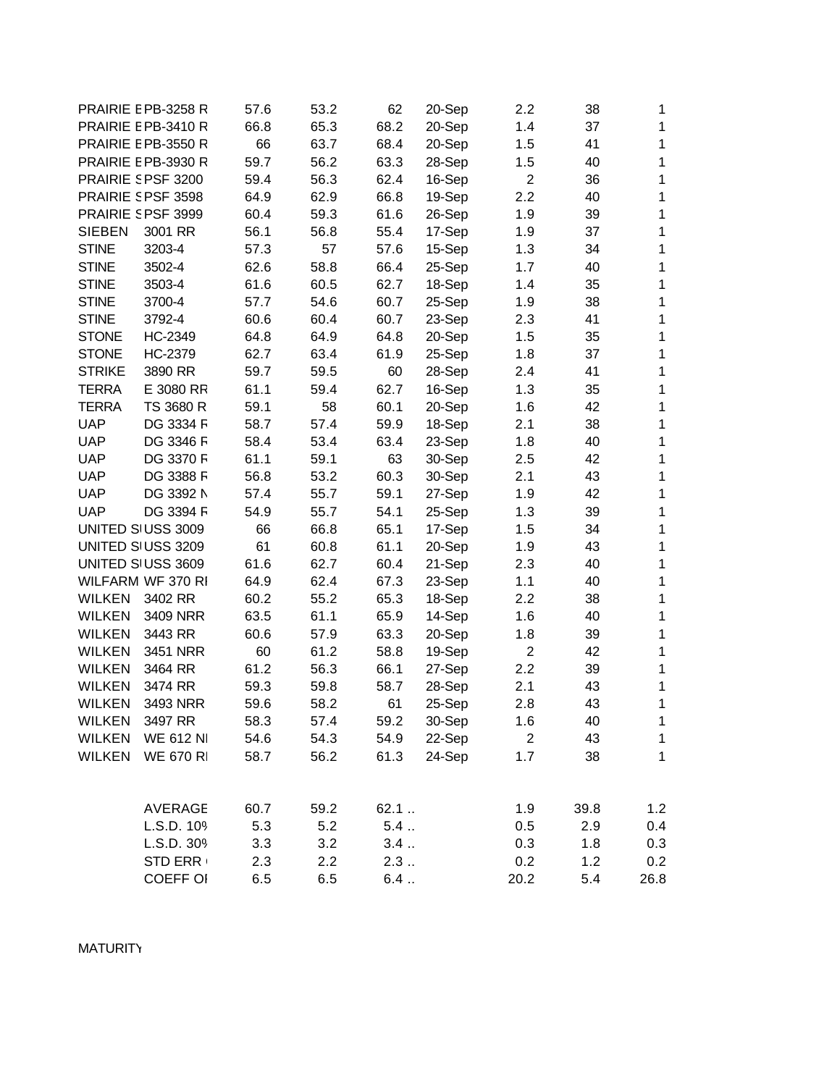|               | PRAIRIE E PB-3258 R | 57.6 | 53.2 | 62   | 20-Sep | $2.2\,$        | 38   | 1            |
|---------------|---------------------|------|------|------|--------|----------------|------|--------------|
|               | PRAIRIE E PB-3410 R | 66.8 | 65.3 | 68.2 | 20-Sep | 1.4            | 37   | 1            |
|               | PRAIRIE E PB-3550 R | 66   | 63.7 | 68.4 | 20-Sep | 1.5            | 41   | 1            |
|               | PRAIRIE E PB-3930 R | 59.7 | 56.2 | 63.3 | 28-Sep | 1.5            | 40   | 1            |
|               | PRAIRIE SPSF 3200   | 59.4 | 56.3 | 62.4 | 16-Sep | $\overline{2}$ | 36   | 1            |
|               | PRAIRIE SPSF 3598   | 64.9 | 62.9 | 66.8 | 19-Sep | 2.2            | 40   | 1            |
|               | PRAIRIE SPSF 3999   | 60.4 | 59.3 | 61.6 | 26-Sep | 1.9            | 39   | 1            |
| <b>SIEBEN</b> | 3001 RR             | 56.1 | 56.8 | 55.4 | 17-Sep | 1.9            | 37   | 1            |
| <b>STINE</b>  | 3203-4              | 57.3 | 57   | 57.6 | 15-Sep | 1.3            | 34   | 1            |
| <b>STINE</b>  | 3502-4              | 62.6 | 58.8 | 66.4 | 25-Sep | 1.7            | 40   | 1            |
| <b>STINE</b>  | 3503-4              | 61.6 | 60.5 | 62.7 | 18-Sep | 1.4            | 35   | 1            |
| <b>STINE</b>  | 3700-4              | 57.7 | 54.6 | 60.7 | 25-Sep | 1.9            | 38   | 1            |
| <b>STINE</b>  | 3792-4              | 60.6 | 60.4 | 60.7 | 23-Sep | 2.3            | 41   | 1            |
| <b>STONE</b>  | HC-2349             | 64.8 | 64.9 | 64.8 | 20-Sep | 1.5            | 35   | 1            |
| <b>STONE</b>  | HC-2379             | 62.7 | 63.4 | 61.9 | 25-Sep | 1.8            | 37   | 1            |
| <b>STRIKE</b> | 3890 RR             | 59.7 | 59.5 | 60   | 28-Sep | 2.4            | 41   | 1            |
| <b>TERRA</b>  | E 3080 RR           | 61.1 | 59.4 | 62.7 | 16-Sep | 1.3            | 35   | 1            |
| <b>TERRA</b>  | TS 3680 R           | 59.1 | 58   | 60.1 | 20-Sep | 1.6            | 42   | 1            |
| <b>UAP</b>    | DG 3334 F           | 58.7 | 57.4 | 59.9 | 18-Sep | 2.1            | 38   | 1            |
| <b>UAP</b>    | DG 3346 F           | 58.4 | 53.4 | 63.4 | 23-Sep | 1.8            | 40   | 1            |
| <b>UAP</b>    | DG 3370 F           | 61.1 | 59.1 | 63   | 30-Sep | 2.5            | 42   | 1            |
| <b>UAP</b>    | DG 3388 F           | 56.8 | 53.2 | 60.3 | 30-Sep | 2.1            | 43   | 1            |
| <b>UAP</b>    | DG 3392 N           | 57.4 | 55.7 | 59.1 | 27-Sep | 1.9            | 42   | 1            |
| <b>UAP</b>    | DG 3394 F           | 54.9 | 55.7 | 54.1 | 25-Sep | 1.3            | 39   | 1            |
|               | UNITED SIUSS 3009   | 66   | 66.8 | 65.1 | 17-Sep | 1.5            | 34   | 1            |
|               | UNITED SIUSS 3209   | 61   | 60.8 | 61.1 | 20-Sep | 1.9            | 43   | 1            |
|               | UNITED SI USS 3609  | 61.6 | 62.7 | 60.4 | 21-Sep | 2.3            | 40   | 1            |
|               | WILFARM WF 370 RI   | 64.9 | 62.4 | 67.3 | 23-Sep | 1.1            | 40   | 1            |
| <b>WILKEN</b> | 3402 RR             | 60.2 | 55.2 | 65.3 | 18-Sep | 2.2            | 38   | 1            |
| <b>WILKEN</b> | 3409 NRR            | 63.5 | 61.1 | 65.9 | 14-Sep | 1.6            | 40   | 1            |
| <b>WILKEN</b> | 3443 RR             | 60.6 | 57.9 | 63.3 | 20-Sep | 1.8            | 39   | 1            |
| <b>WILKEN</b> | 3451 NRR            | 60   | 61.2 | 58.8 | 19-Sep | $\overline{2}$ | 42   | 1            |
| <b>WILKEN</b> | 3464 RR             | 61.2 | 56.3 | 66.1 | 27-Sep | 2.2            | 39   | 1            |
| <b>WILKEN</b> | 3474 RR             | 59.3 | 59.8 | 58.7 | 28-Sep | 2.1            | 43   | 1            |
| <b>WILKEN</b> | 3493 NRR            | 59.6 | 58.2 | 61   | 25-Sep | 2.8            | 43   | 1            |
| <b>WILKEN</b> | 3497 RR             | 58.3 | 57.4 | 59.2 | 30-Sep | 1.6            | 40   | 1            |
| <b>WILKEN</b> | <b>WE 612 NI</b>    | 54.6 | 54.3 | 54.9 | 22-Sep | $\overline{2}$ | 43   | $\mathbf{1}$ |
| <b>WILKEN</b> | WE 670 R            | 58.7 | 56.2 | 61.3 | 24-Sep | 1.7            | 38   | $\mathbf{1}$ |
|               |                     |      |      |      |        |                |      |              |
|               | <b>AVERAGE</b>      | 60.7 | 59.2 | 62.1 |        | 1.9            | 39.8 | 1.2          |
|               | L.S.D. 109          | 5.3  | 5.2  | 5.4  |        | 0.5            | 2.9  | 0.4          |
|               | L.S.D. 309          | 3.3  | 3.2  | 3.4  |        | 0.3            | 1.8  | 0.3          |
|               | <b>STD ERR</b>      | 2.3  | 2.2  | 2.3  |        | 0.2            | 1.2  | 0.2          |
|               | <b>COEFF OI</b>     | 6.5  | 6.5  | 6.4  |        | 20.2           | 5.4  | 26.8         |